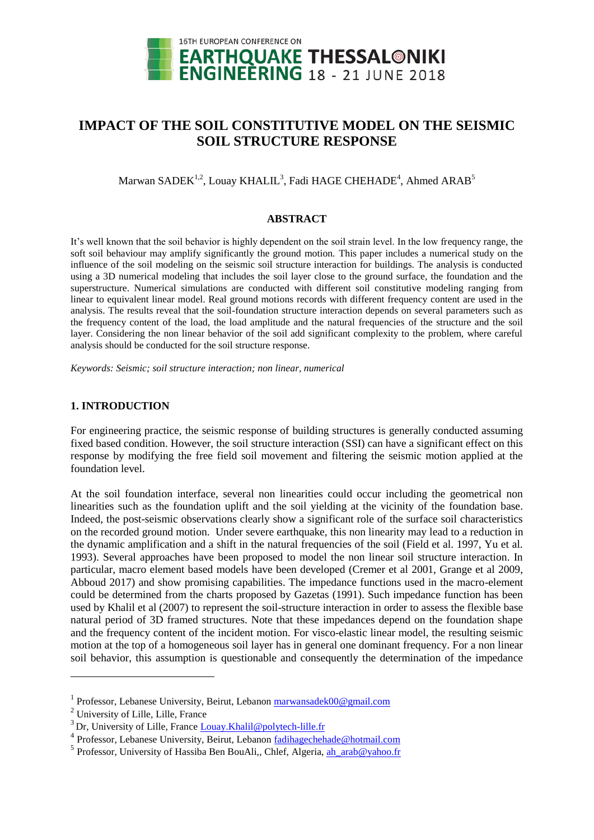

# **IMPACT OF THE SOIL CONSTITUTIVE MODEL ON THE SEISMIC SOIL STRUCTURE RESPONSE**

 $\rm{Marwan\ SADEK}^{1,2},\rm{Louay\ KHALIL}^{3},$  Fadi  $\rm{HAGE\ CHEHADE}^{4},\rm{Ahmed\ ARAB}^{5}$ 

### **ABSTRACT**

It's well known that the soil behavior is highly dependent on the soil strain level. In the low frequency range, the soft soil behaviour may amplify significantly the ground motion. This paper includes a numerical study on the influence of the soil modeling on the seismic soil structure interaction for buildings. The analysis is conducted using a 3D numerical modeling that includes the soil layer close to the ground surface, the foundation and the superstructure. Numerical simulations are conducted with different soil constitutive modeling ranging from linear to equivalent linear model. Real ground motions records with different frequency content are used in the analysis. The results reveal that the soil-foundation structure interaction depends on several parameters such as the frequency content of the load, the load amplitude and the natural frequencies of the structure and the soil layer. Considering the non linear behavior of the soil add significant complexity to the problem, where careful analysis should be conducted for the soil structure response.

*Keywords: Seismic; soil structure interaction; non linear, numerical*

## **1. INTRODUCTION**

For engineering practice, the seismic response of building structures is generally conducted assuming fixed based condition. However, the soil structure interaction (SSI) can have a significant effect on this response by modifying the free field soil movement and filtering the seismic motion applied at the foundation level.

At the soil foundation interface, several non linearities could occur including the geometrical non linearities such as the foundation uplift and the soil yielding at the vicinity of the foundation base. Indeed, the post-seismic observations clearly show a significant role of the surface soil characteristics on the recorded ground motion. Under severe earthquake, this non linearity may lead to a reduction in the dynamic amplification and a shift in the natural frequencies of the soil (Field et al. 1997, Yu et al. 1993). Several approaches have been proposed to model the non linear soil structure interaction. In particular, macro element based models have been developed (Cremer et al 2001, Grange et al 2009, Abboud 2017) and show promising capabilities. The impedance functions used in the macro-element could be determined from the charts proposed by Gazetas (1991). Such impedance function has been used by Khalil et al (2007) to represent the soil-structure interaction in order to assess the flexible base natural period of 3D framed structures. Note that these impedances depend on the foundation shape and the frequency content of the incident motion. For visco-elastic linear model, the resulting seismic motion at the top of a homogeneous soil layer has in general one dominant frequency. For a non linear soil behavior, this assumption is questionable and consequently the determination of the impedance

1

<sup>&</sup>lt;sup>1</sup> Professor, Lebanese University, Beirut, Lebanon [marwansadek00@gmail.com](mailto:marwansadek00@gmail.com)

<sup>2</sup> University of Lille, Lille, France

<sup>&</sup>lt;sup>3</sup> Dr, University of Lille, France [Louay.Khalil@polytech-lille.fr](mailto:Louay.Khalil@polytech-lille.fr)

<sup>&</sup>lt;sup>4</sup> Professor, Lebanese University, Beirut, Lebanon [fadihagechehade@hotmail.com](mailto:fadihagechehade@hotmail.com)

<sup>&</sup>lt;sup>5</sup> Professor, University of Hassiba Ben BouAli,, Chlef, Algeria, [ah\\_arab@yahoo.fr](mailto:ah_arab@yahoo.fr)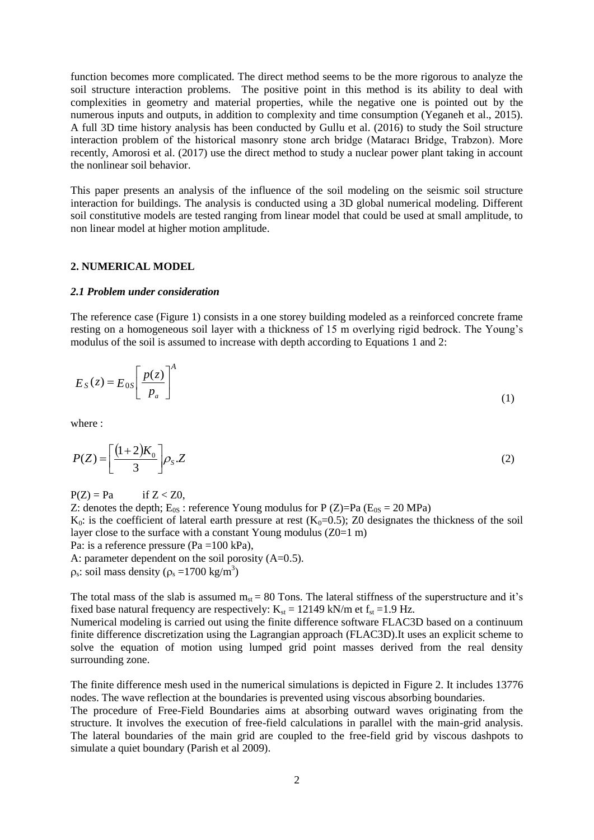function becomes more complicated. The direct method seems to be the more rigorous to analyze the soil structure interaction problems. The positive point in this method is its ability to deal with complexities in geometry and material properties, while the negative one is pointed out by the numerous inputs and outputs, in addition to complexity and time consumption (Yeganeh et al., 2015). A full 3D time history analysis has been conducted by Gullu et al. (2016) to study the Soil structure interaction problem of the historical masonry stone arch bridge (Mataracı Bridge, Trabzon). More recently, Amorosi et al. (2017) use the direct method to study a nuclear power plant taking in account the nonlinear soil behavior.

This paper presents an analysis of the influence of the soil modeling on the seismic soil structure interaction for buildings. The analysis is conducted using a 3D global numerical modeling. Different soil constitutive models are tested ranging from linear model that could be used at small amplitude, to non linear model at higher motion amplitude.

#### **2. NUMERICAL MODEL**

#### *2.1 Problem under consideration*

The reference case (Figure 1) consists in a one storey building modeled as a reinforced concrete frame resting on a homogeneous soil layer with a thickness of 15 m overlying rigid bedrock. The Young's modulus of the soil is assumed to increase with depth according to Equations 1 and 2:

$$
E_S(z) = E_{0S} \left[ \frac{p(z)}{p_a} \right]^A \tag{1}
$$

where :

$$
P(Z) = \left[\frac{(1+2)K_0}{3}\right] \rho_S \tag{2}
$$

 $P(Z) = Pa$  if  $Z < Z0$ , Z: denotes the depth;  $E_{0S}$ : reference Young modulus for P (Z)=Pa ( $E_{0S}$  = 20 MPa) K<sub>0</sub>: is the coefficient of lateral earth pressure at rest (K<sub>0</sub>=0.5); Z0 designates the thickness of the soil layer close to the surface with a constant Young modulus  $(Z0=1 \text{ m})$ Pa: is a reference pressure (Pa =100 kPa), A: parameter dependent on the soil porosity  $(A=0.5)$ .  $\rho_s$ : soil mass density ( $\rho_s = 1700 \text{ kg/m}^3$ )

The total mass of the slab is assumed  $m_{st} = 80$  Tons. The lateral stiffness of the superstructure and it's fixed base natural frequency are respectively:  $K_{st} = 12149$  kN/m et  $f_{st} = 1.9$  Hz.

Numerical modeling is carried out using the finite difference software FLAC3D based on a continuum finite difference discretization using the Lagrangian approach (FLAC3D).It uses an explicit scheme to solve the equation of motion using lumped grid point masses derived from the real density surrounding zone.

The finite difference mesh used in the numerical simulations is depicted in Figure 2. It includes 13776 nodes. The wave reflection at the boundaries is prevented using viscous absorbing boundaries.

The procedure of Free-Field Boundaries aims at absorbing outward waves originating from the structure. It involves the execution of free-field calculations in parallel with the main-grid analysis. The lateral boundaries of the main grid are coupled to the free-field grid by viscous dashpots to simulate a quiet boundary (Parish et al 2009).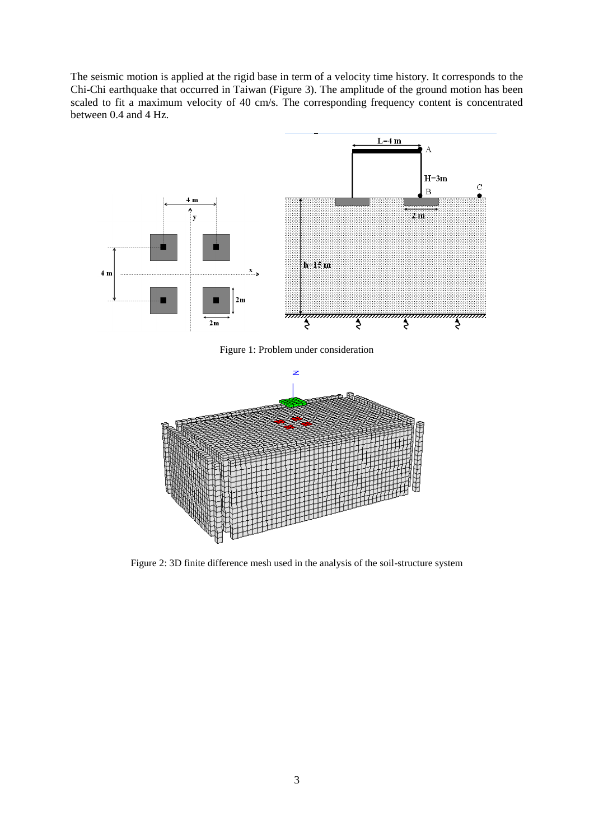The seismic motion is applied at the rigid base in term of a velocity time history. It corresponds to the Chi-Chi earthquake that occurred in Taiwan (Figure 3). The amplitude of the ground motion has been scaled to fit a maximum velocity of 40 cm/s. The corresponding frequency content is concentrated between 0.4 and 4 Hz.



Figure 2: 3D finite difference mesh used in the analysis of the soil-structure system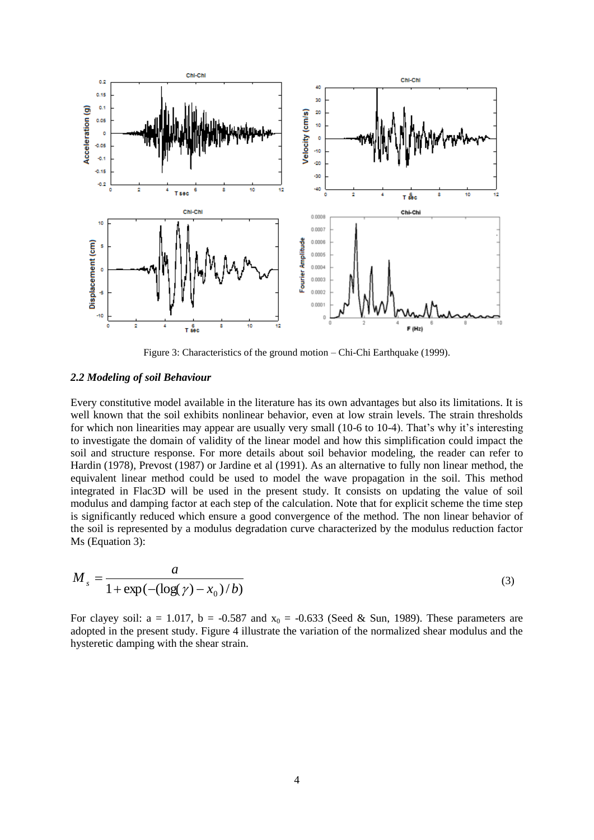

Figure 3: Characteristics of the ground motion – Chi-Chi Earthquake (1999).

#### *2.2 Modeling of soil Behaviour*

Every constitutive model available in the literature has its own advantages but also its limitations. It is well known that the soil exhibits nonlinear behavior, even at low strain levels. The strain thresholds for which non linearities may appear are usually very small (10-6 to 10-4). That's why it's interesting to investigate the domain of validity of the linear model and how this simplification could impact the soil and structure response. For more details about soil behavior modeling, the reader can refer to Hardin (1978), Prevost (1987) or Jardine et al (1991). As an alternative to fully non linear method, the equivalent linear method could be used to model the wave propagation in the soil. This method integrated in Flac3D will be used in the present study. It consists on updating the value of soil modulus and damping factor at each step of the calculation. Note that for explicit scheme the time step is significantly reduced which ensure a good convergence of the method. The non linear behavior of the soil is represented by a modulus degradation curve characterized by the modulus reduction factor Ms (Equation 3):

$$
M_{s} = \frac{a}{1 + \exp(-(\log(\gamma) - x_0)/b)}
$$
(3)

For clayey soil:  $a = 1.017$ ,  $b = -0.587$  and  $x_0 = -0.633$  (Seed & Sun, 1989). These parameters are adopted in the present study. Figure 4 illustrate the variation of the normalized shear modulus and the hysteretic damping with the shear strain.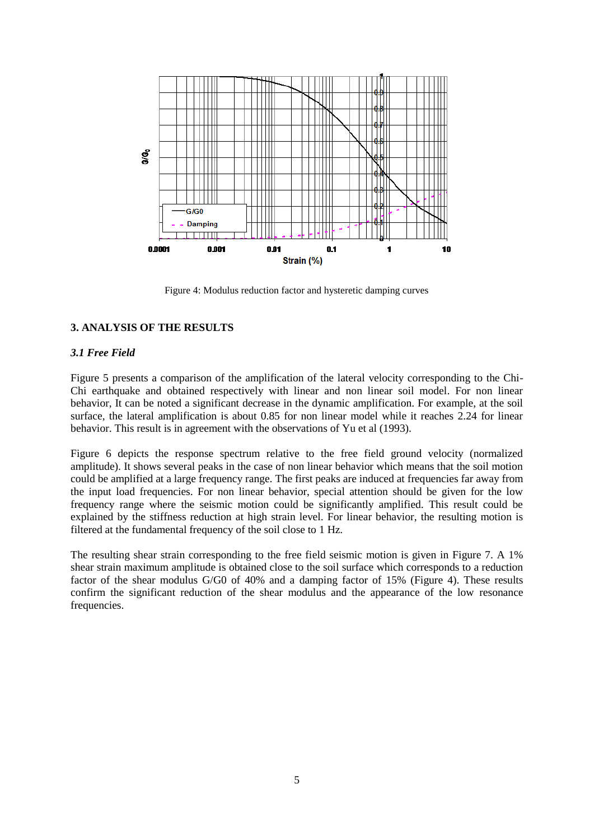

Figure 4: Modulus reduction factor and hysteretic damping curves

# **3. ANALYSIS OF THE RESULTS**

## *3.1 Free Field*

Figure 5 presents a comparison of the amplification of the lateral velocity corresponding to the Chi-Chi earthquake and obtained respectively with linear and non linear soil model. For non linear behavior, It can be noted a significant decrease in the dynamic amplification. For example, at the soil surface, the lateral amplification is about 0.85 for non linear model while it reaches 2.24 for linear behavior. This result is in agreement with the observations of Yu et al (1993).

Figure 6 depicts the response spectrum relative to the free field ground velocity (normalized amplitude). It shows several peaks in the case of non linear behavior which means that the soil motion could be amplified at a large frequency range. The first peaks are induced at frequencies far away from the input load frequencies. For non linear behavior, special attention should be given for the low frequency range where the seismic motion could be significantly amplified. This result could be explained by the stiffness reduction at high strain level. For linear behavior, the resulting motion is filtered at the fundamental frequency of the soil close to 1 Hz.

The resulting shear strain corresponding to the free field seismic motion is given in Figure 7. A 1% shear strain maximum amplitude is obtained close to the soil surface which corresponds to a reduction factor of the shear modulus G/G0 of 40% and a damping factor of 15% (Figure 4). These results confirm the significant reduction of the shear modulus and the appearance of the low resonance frequencies.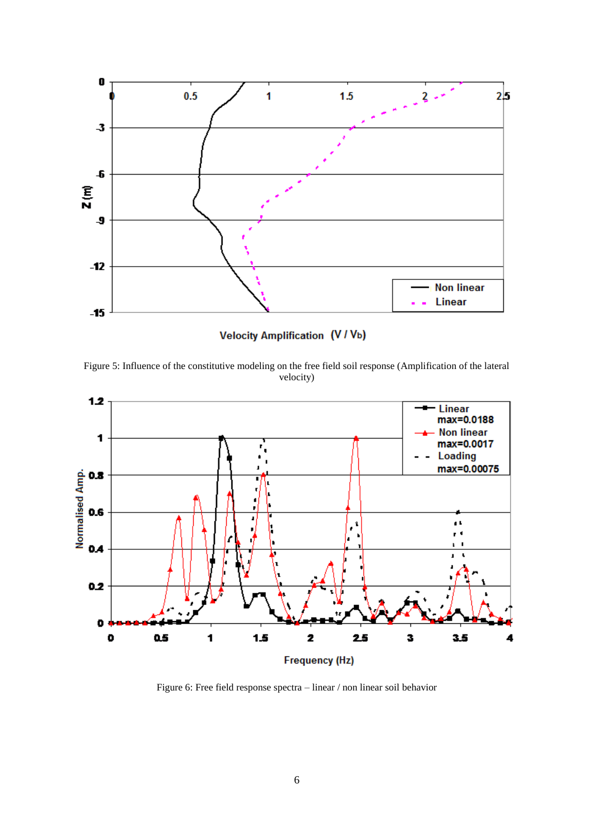

**Velocity Amplification (V / Vb)** 

Figure 5: Influence of the constitutive modeling on the free field soil response (Amplification of the lateral velocity)



Figure 6: Free field response spectra – linear / non linear soil behavior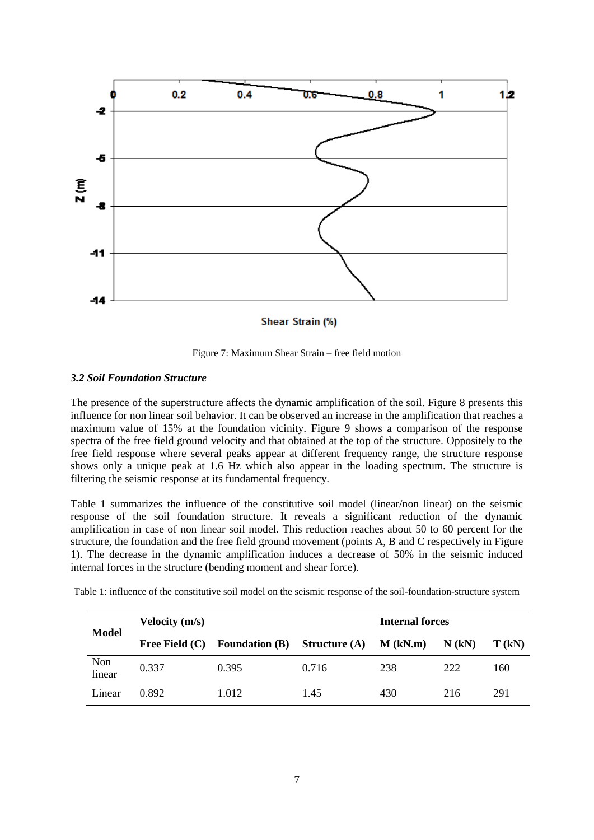

Figure 7: Maximum Shear Strain – free field motion

## *3.2 Soil Foundation Structure*

The presence of the superstructure affects the dynamic amplification of the soil. Figure 8 presents this influence for non linear soil behavior. It can be observed an increase in the amplification that reaches a maximum value of 15% at the foundation vicinity. Figure 9 shows a comparison of the response spectra of the free field ground velocity and that obtained at the top of the structure. Oppositely to the free field response where several peaks appear at different frequency range, the structure response shows only a unique peak at 1.6 Hz which also appear in the loading spectrum. The structure is filtering the seismic response at its fundamental frequency.

Table 1 summarizes the influence of the constitutive soil model (linear/non linear) on the seismic response of the soil foundation structure. It reveals a significant reduction of the dynamic amplification in case of non linear soil model. This reduction reaches about 50 to 60 percent for the structure, the foundation and the free field ground movement (points A, B and C respectively in Figure 1). The decrease in the dynamic amplification induces a decrease of 50% in the seismic induced internal forces in the structure (bending moment and shear force).

| <b>Model</b>  | Velocity $(m/s)$ |                       |                      | Internal forces |          |          |
|---------------|------------------|-----------------------|----------------------|-----------------|----------|----------|
|               | Free Field $(C)$ | <b>Foundation (B)</b> | <b>Structure</b> (A) | $M$ (kN.m)      | $N$ (kN) | $T$ (kN) |
| Non<br>linear | 0.337            | 0.395                 | 0.716                | 238             | 222      | 160      |
| Linear        | 0.892            | 1.012                 | 1.45                 | 430             | 216      | 291      |

Table 1: influence of the constitutive soil model on the seismic response of the soil-foundation-structure system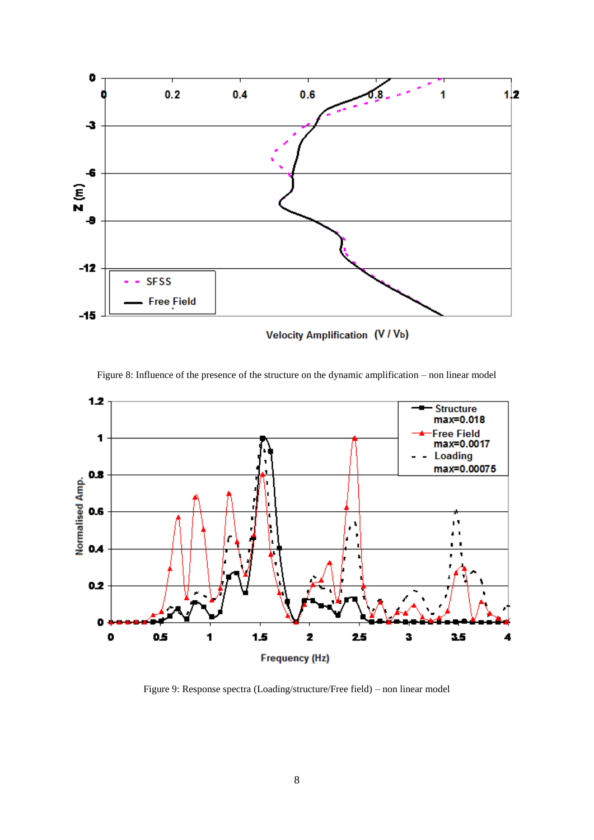

Velocity Amplification (V / Vb)



Figure 8: Influence of the presence of the structure on the dynamic amplification – non linear model

Figure 9: Response spectra (Loading/structure/Free field) – non linear model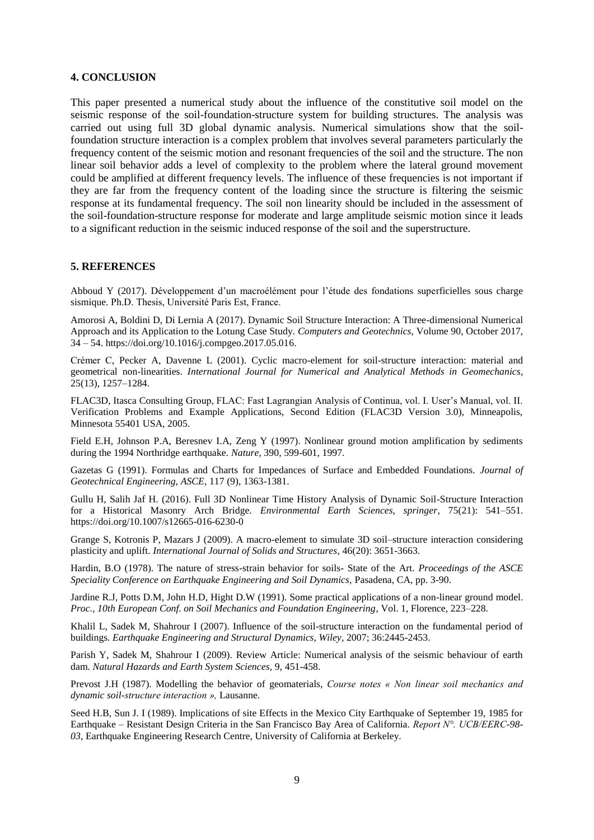### **4. CONCLUSION**

This paper presented a numerical study about the influence of the constitutive soil model on the seismic response of the soil-foundation-structure system for building structures. The analysis was carried out using full 3D global dynamic analysis. Numerical simulations show that the soilfoundation structure interaction is a complex problem that involves several parameters particularly the frequency content of the seismic motion and resonant frequencies of the soil and the structure. The non linear soil behavior adds a level of complexity to the problem where the lateral ground movement could be amplified at different frequency levels. The influence of these frequencies is not important if they are far from the frequency content of the loading since the structure is filtering the seismic response at its fundamental frequency. The soil non linearity should be included in the assessment of the soil-foundation-structure response for moderate and large amplitude seismic motion since it leads to a significant reduction in the seismic induced response of the soil and the superstructure.

#### **5. REFERENCES**

Abboud Y (2017). Développement d'un macroélément pour l'étude des fondations superficielles sous charge sismique. Ph.D. Thesis, Université Paris Est, France.

Amorosi A, Boldini D, Di Lernia A (2017). Dynamic Soil Structure Interaction: A Three-dimensional Numerical Approach and its Application to the Lotung Case Study. *Computers and Geotechnics*, Volume 90, October 2017, 34 – 54. https://doi.org/10.1016/j.compgeo.2017.05.016.

Crémer C, Pecker A, Davenne L (2001). Cyclic macro-element for soil-structure interaction: material and geometrical non-linearities. *International Journal for Numerical and Analytical Methods in Geomechanics*, 25(13), 1257–1284.

FLAC3D, Itasca Consulting Group, FLAC: Fast Lagrangian Analysis of Continua, vol. I. User's Manual, vol. II. Verification Problems and Example Applications, Second Edition (FLAC3D Version 3.0), Minneapolis, Minnesota 55401 USA, 2005.

Field E.H, Johnson P.A, Beresnev I.A, Zeng Y (1997). Nonlinear ground motion amplification by sediments during the 1994 Northridge earthquake. *Nature*, 390, 599-601, 1997.

Gazetas G (1991). Formulas and Charts for Impedances of Surface and Embedded Foundations. *Journal of Geotechnical Engineering, ASCE,* 117 (9), 1363-1381.

Gullu H, Salih Jaf H. (2016). Full 3D Nonlinear Time History Analysis of Dynamic Soil-Structure Interaction for a Historical Masonry Arch Bridge. *Environmental Earth Sciences, springer*, 75(21): 541–551. https://doi.org/10.1007/s12665-016-6230-0

Grange S, Kotronis P, Mazars J (2009). A macro-element to simulate 3D soil–structure interaction considering plasticity and uplift. *International Journal of Solids and Structures*, 46(20): 3651-3663.

Hardin, B.O (1978). The nature of stress-strain behavior for soils- State of the Art. *Proceedings of the ASCE Speciality Conference on Earthquake Engineering and Soil Dynamics,* Pasadena, CA, pp. 3-90.

Jardine R.J, Potts D.M, John H.D, Hight D.W (1991). Some practical applications of a non-linear ground model. *Proc., 10th European Conf. on Soil Mechanics and Foundation Engineering*, Vol. 1, Florence, 223–228.

Khalil L, Sadek M, Shahrour I (2007). Influence of the soil-structure interaction on the fundamental period of buildings. *Earthquake Engineering and Structural Dynamics, Wiley*, 2007; 36:2445-2453.

Parish Y, Sadek M, Shahrour I (2009). Review Article: Numerical analysis of the seismic behaviour of earth dam. *Natural Hazards and Earth System Sciences*, 9, 451-458.

Prevost J.H (1987). Modelling the behavior of geomaterials, *Course notes « Non linear soil mechanics and dynamic soil-structure interaction »,* Lausanne.

Seed H.B, Sun J. I (1989). Implications of site Effects in the Mexico City Earthquake of September 19, 1985 for Earthquake – Resistant Design Criteria in the San Francisco Bay Area of California. *Report N°. UCB/EERC-98- 03*, Earthquake Engineering Research Centre, University of California at Berkeley.